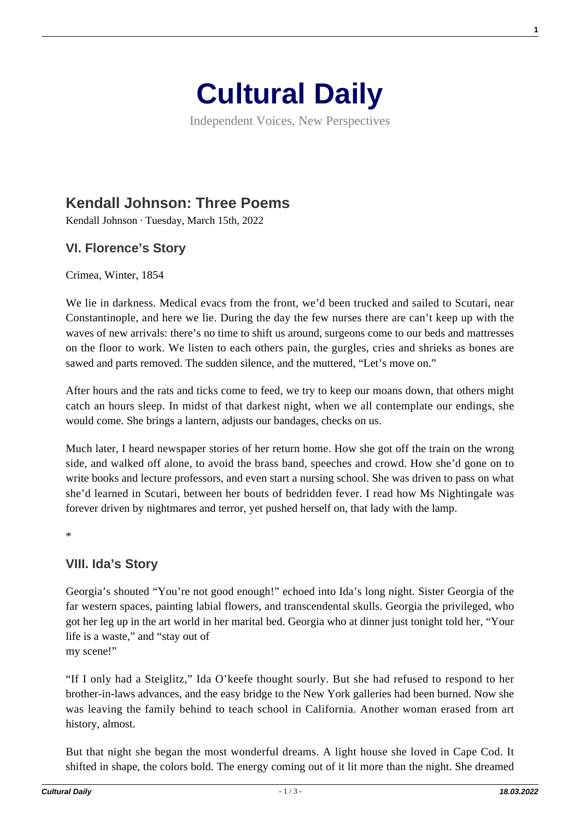

Independent Voices, New Perspectives

# **[Kendall Johnson: Three Poems](https://culturaldaily.com/kendall-johnson-three-poems/)**

Kendall Johnson · Tuesday, March 15th, 2022

### **VI. Florence's Story**

Crimea, Winter, 1854

We lie in darkness. Medical evacs from the front, we'd been trucked and sailed to Scutari, near Constantinople, and here we lie. During the day the few nurses there are can't keep up with the waves of new arrivals: there's no time to shift us around, surgeons come to our beds and mattresses on the floor to work. We listen to each others pain, the gurgles, cries and shrieks as bones are sawed and parts removed. The sudden silence, and the muttered, "Let's move on."

After hours and the rats and ticks come to feed, we try to keep our moans down, that others might catch an hours sleep. In midst of that darkest night, when we all contemplate our endings, she would come. She brings a lantern, adjusts our bandages, checks on us.

Much later, I heard newspaper stories of her return home. How she got off the train on the wrong side, and walked off alone, to avoid the brass band, speeches and crowd. How she'd gone on to write books and lecture professors, and even start a nursing school. She was driven to pass on what she'd learned in Scutari, between her bouts of bedridden fever. I read how Ms Nightingale was forever driven by nightmares and terror, yet pushed herself on, that lady with the lamp.

\*

#### **VIII. Ida's Story**

Georgia's shouted "You're not good enough!" echoed into Ida's long night. Sister Georgia of the far western spaces, painting labial flowers, and transcendental skulls. Georgia the privileged, who got her leg up in the art world in her marital bed. Georgia who at dinner just tonight told her, "Your life is a waste," and "stay out of my scene!"

"If I only had a Steiglitz," Ida O'keefe thought sourly. But she had refused to respond to her brother-in-laws advances, and the easy bridge to the New York galleries had been burned. Now she was leaving the family behind to teach school in California. Another woman erased from art history, almost.

But that night she began the most wonderful dreams. A light house she loved in Cape Cod. It shifted in shape, the colors bold. The energy coming out of it lit more than the night. She dreamed

**1**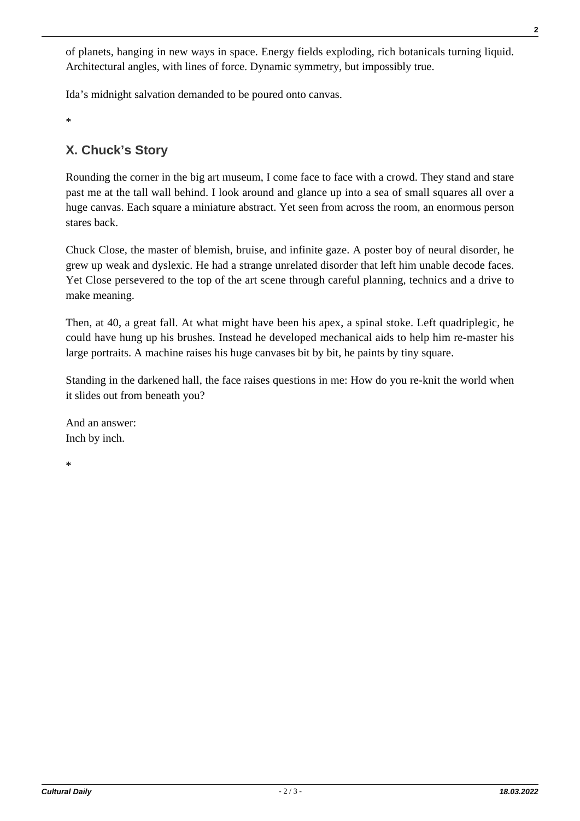of planets, hanging in new ways in space. Energy fields exploding, rich botanicals turning liquid. Architectural angles, with lines of force. Dynamic symmetry, but impossibly true.

Ida's midnight salvation demanded to be poured onto canvas.

\*

# **X. Chuck's Story**

Rounding the corner in the big art museum, I come face to face with a crowd. They stand and stare past me at the tall wall behind. I look around and glance up into a sea of small squares all over a huge canvas. Each square a miniature abstract. Yet seen from across the room, an enormous person stares back.

Chuck Close, the master of blemish, bruise, and infinite gaze. A poster boy of neural disorder, he grew up weak and dyslexic. He had a strange unrelated disorder that left him unable decode faces. Yet Close persevered to the top of the art scene through careful planning, technics and a drive to make meaning.

Then, at 40, a great fall. At what might have been his apex, a spinal stoke. Left quadriplegic, he could have hung up his brushes. Instead he developed mechanical aids to help him re-master his large portraits. A machine raises his huge canvases bit by bit, he paints by tiny square.

Standing in the darkened hall, the face raises questions in me: How do you re-knit the world when it slides out from beneath you?

And an answer: Inch by inch.

\*